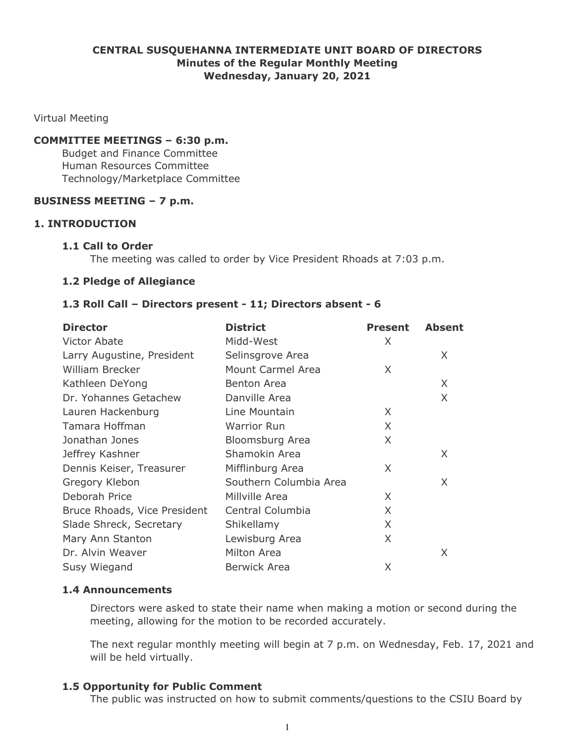## **CENTRAL SUSQUEHANNA INTERMEDIATE UNIT BOARD OF DIRECTORS Minutes of the Regular Monthly Meeting Wednesday, January 20, 2021**

Virtual Meeting

#### **COMMITTEE MEETINGS – 6:30 p.m.**

Budget and Finance Committee Human Resources Committee Technology/Marketplace Committee

#### **BUSINESS MEETING – 7 p.m.**

## **1. INTRODUCTION**

#### **1.1 Call to Order**

The meeting was called to order by Vice President Rhoads at 7:03 p.m.

#### **1.2 Pledge of Allegiance**

#### **1.3 Roll Call – Directors present - 11; Directors absent - 6**

| <b>Director</b>              | <b>District</b>          | <b>Present</b> | <b>Absent</b> |
|------------------------------|--------------------------|----------------|---------------|
| Victor Abate                 | Midd-West                | X              |               |
| Larry Augustine, President   | Selinsgrove Area         |                | X             |
| <b>William Brecker</b>       | <b>Mount Carmel Area</b> | X              |               |
| Kathleen DeYong              | <b>Benton Area</b>       |                | X             |
| Dr. Yohannes Getachew        | Danville Area            |                | X             |
| Lauren Hackenburg            | Line Mountain            | X              |               |
| Tamara Hoffman               | <b>Warrior Run</b>       | X              |               |
| Jonathan Jones               | Bloomsburg Area          | X              |               |
| Jeffrey Kashner              | Shamokin Area            |                | X             |
| Dennis Keiser, Treasurer     | Mifflinburg Area         | X              |               |
| Gregory Klebon               | Southern Columbia Area   |                | X             |
| Deborah Price                | Millville Area           | X              |               |
| Bruce Rhoads, Vice President | Central Columbia         | X              |               |
| Slade Shreck, Secretary      | Shikellamy               | X              |               |
| Mary Ann Stanton             | Lewisburg Area           | X              |               |
| Dr. Alvin Weaver             | Milton Area              |                | X             |
| Susy Wiegand                 | Berwick Area             | X              |               |

#### **1.4 Announcements**

Directors were asked to state their name when making a motion or second during the meeting, allowing for the motion to be recorded accurately.

The next regular monthly meeting will begin at 7 p.m. on Wednesday, Feb. 17, 2021 and will be held virtually.

## **1.5 Opportunity for Public Comment**

The public was instructed on how to submit comments/questions to the CSIU Board by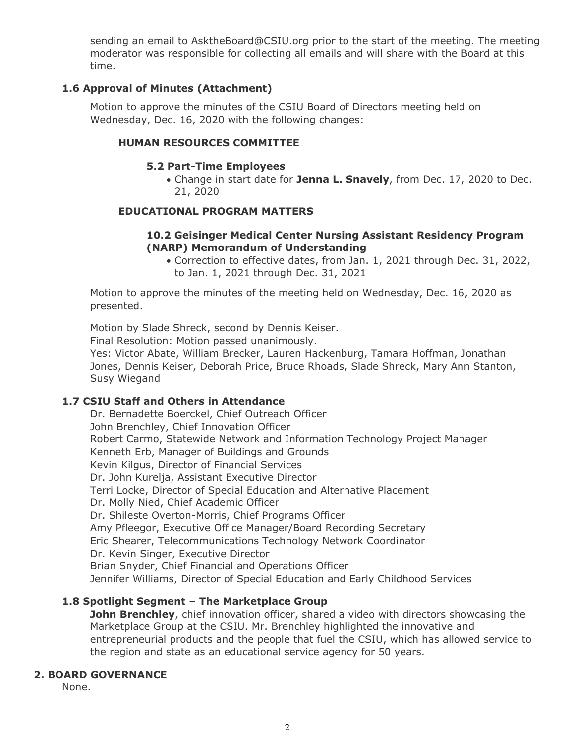sending an email to AsktheBoard@CSIU.org prior to the start of the meeting. The meeting moderator was responsible for collecting all emails and will share with the Board at this time.

## **1.6 Approval of Minutes (Attachment)**

Motion to approve the minutes of the CSIU Board of Directors meeting held on Wednesday, Dec. 16, 2020 with the following changes:

## **HUMAN RESOURCES COMMITTEE**

## **5.2 Part-Time Employees**

Change in start date for **Jenna L. Snavely**, from Dec. 17, 2020 to Dec. 21, 2020

## **EDUCATIONAL PROGRAM MATTERS**

## **10.2 Geisinger Medical Center Nursing Assistant Residency Program (NARP) Memorandum of Understanding**

Correction to effective dates, from Jan. 1, 2021 through Dec. 31, 2022, to Jan. 1, 2021 through Dec. 31, 2021

Motion to approve the minutes of the meeting held on Wednesday, Dec. 16, 2020 as presented.

Motion by Slade Shreck, second by Dennis Keiser.

Final Resolution: Motion passed unanimously.

Yes: Victor Abate, William Brecker, Lauren Hackenburg, Tamara Hoffman, Jonathan Jones, Dennis Keiser, Deborah Price, Bruce Rhoads, Slade Shreck, Mary Ann Stanton, Susy Wiegand

## **1.7 CSIU Staff and Others in Attendance**

Dr. Bernadette Boerckel, Chief Outreach Officer John Brenchley, Chief Innovation Officer Robert Carmo, Statewide Network and Information Technology Project Manager Kenneth Erb, Manager of Buildings and Grounds Kevin Kilgus, Director of Financial Services Dr. John Kurelja, Assistant Executive Director Terri Locke, Director of Special Education and Alternative Placement Dr. Molly Nied, Chief Academic Officer Dr. Shileste Overton-Morris, Chief Programs Officer Amy Pfleegor, Executive Office Manager/Board Recording Secretary Eric Shearer, Telecommunications Technology Network Coordinator Dr. Kevin Singer, Executive Director Brian Snyder, Chief Financial and Operations Officer Jennifer Williams, Director of Special Education and Early Childhood Services

# **1.8 Spotlight Segment – The Marketplace Group**

**John Brenchley**, chief innovation officer, shared a video with directors showcasing the Marketplace Group at the CSIU. Mr. Brenchley highlighted the innovative and entrepreneurial products and the people that fuel the CSIU, which has allowed service to the region and state as an educational service agency for 50 years.

## **2. BOARD GOVERNANCE**

None.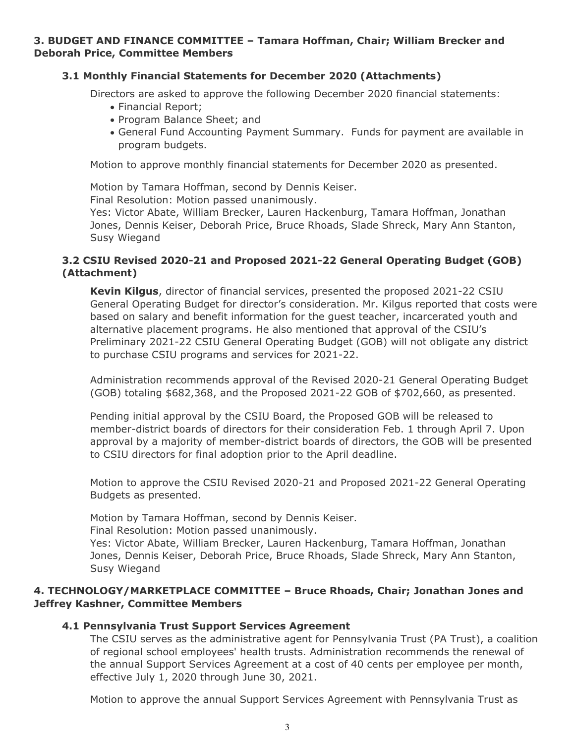## **3. BUDGET AND FINANCE COMMITTEE – Tamara Hoffman, Chair; William Brecker and Deborah Price, Committee Members**

## **3.1 Monthly Financial Statements for December 2020 (Attachments)**

Directors are asked to approve the following December 2020 financial statements:

- Financial Report;
- Program Balance Sheet; and
- General Fund Accounting Payment Summary. Funds for payment are available in program budgets.

Motion to approve monthly financial statements for December 2020 as presented.

Motion by Tamara Hoffman, second by Dennis Keiser.

Final Resolution: Motion passed unanimously.

Yes: Victor Abate, William Brecker, Lauren Hackenburg, Tamara Hoffman, Jonathan Jones, Dennis Keiser, Deborah Price, Bruce Rhoads, Slade Shreck, Mary Ann Stanton, Susy Wiegand

## **3.2 CSIU Revised 2020-21 and Proposed 2021-22 General Operating Budget (GOB) (Attachment)**

**Kevin Kilgus**, director of financial services, presented the proposed 2021-22 CSIU General Operating Budget for director's consideration. Mr. Kilgus reported that costs were based on salary and benefit information for the guest teacher, incarcerated youth and alternative placement programs. He also mentioned that approval of the CSIU's Preliminary 2021-22 CSIU General Operating Budget (GOB) will not obligate any district to purchase CSIU programs and services for 2021-22.

Administration recommends approval of the Revised 2020-21 General Operating Budget (GOB) totaling \$682,368, and the Proposed 2021-22 GOB of \$702,660, as presented.

Pending initial approval by the CSIU Board, the Proposed GOB will be released to member-district boards of directors for their consideration Feb. 1 through April 7. Upon approval by a majority of member-district boards of directors, the GOB will be presented to CSIU directors for final adoption prior to the April deadline.

Motion to approve the CSIU Revised 2020-21 and Proposed 2021-22 General Operating Budgets as presented.

Motion by Tamara Hoffman, second by Dennis Keiser.

Final Resolution: Motion passed unanimously.

Yes: Victor Abate, William Brecker, Lauren Hackenburg, Tamara Hoffman, Jonathan Jones, Dennis Keiser, Deborah Price, Bruce Rhoads, Slade Shreck, Mary Ann Stanton, Susy Wiegand

# **4. TECHNOLOGY/MARKETPLACE COMMITTEE – Bruce Rhoads, Chair; Jonathan Jones and Jeffrey Kashner, Committee Members**

# **4.1 Pennsylvania Trust Support Services Agreement**

The CSIU serves as the administrative agent for Pennsylvania Trust (PA Trust), a coalition of regional school employees' health trusts. Administration recommends the renewal of the annual Support Services Agreement at a cost of 40 cents per employee per month, effective July 1, 2020 through June 30, 2021.

Motion to approve the annual Support Services Agreement with Pennsylvania Trust as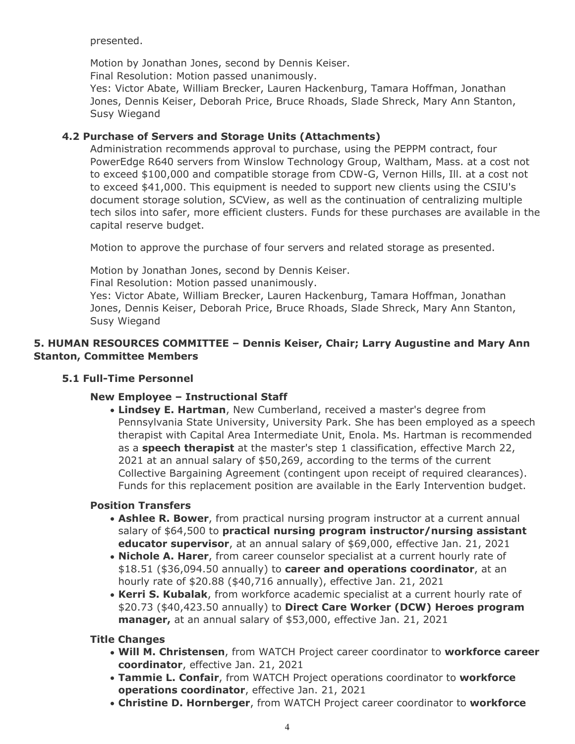presented.

Motion by Jonathan Jones, second by Dennis Keiser.

Final Resolution: Motion passed unanimously.

Yes: Victor Abate, William Brecker, Lauren Hackenburg, Tamara Hoffman, Jonathan Jones, Dennis Keiser, Deborah Price, Bruce Rhoads, Slade Shreck, Mary Ann Stanton, Susy Wiegand

# **4.2 Purchase of Servers and Storage Units (Attachments)**

Administration recommends approval to purchase, using the PEPPM contract, four PowerEdge R640 servers from Winslow Technology Group, Waltham, Mass. at a cost not to exceed \$100,000 and compatible storage from CDW-G, Vernon Hills, Ill. at a cost not to exceed \$41,000. This equipment is needed to support new clients using the CSIU's document storage solution, SCView, as well as the continuation of centralizing multiple tech silos into safer, more efficient clusters. Funds for these purchases are available in the capital reserve budget.

Motion to approve the purchase of four servers and related storage as presented.

Motion by Jonathan Jones, second by Dennis Keiser.

Final Resolution: Motion passed unanimously.

Yes: Victor Abate, William Brecker, Lauren Hackenburg, Tamara Hoffman, Jonathan Jones, Dennis Keiser, Deborah Price, Bruce Rhoads, Slade Shreck, Mary Ann Stanton, Susy Wiegand

# **5. HUMAN RESOURCES COMMITTEE – Dennis Keiser, Chair; Larry Augustine and Mary Ann Stanton, Committee Members**

# **5.1 Full-Time Personnel**

# **New Employee – Instructional Staff**

**Lindsey E. Hartman**, New Cumberland, received a master's degree from Pennsylvania State University, University Park. She has been employed as a speech therapist with Capital Area Intermediate Unit, Enola. Ms. Hartman is recommended as a **speech therapist** at the master's step 1 classification, effective March 22, 2021 at an annual salary of \$50,269, according to the terms of the current Collective Bargaining Agreement (contingent upon receipt of required clearances). Funds for this replacement position are available in the Early Intervention budget.

# **Position Transfers**

- **Ashlee R. Bower**, from practical nursing program instructor at a current annual salary of \$64,500 to **practical nursing program instructor/nursing assistant educator supervisor**, at an annual salary of \$69,000, effective Jan. 21, 2021
- **Nichole A. Harer**, from career counselor specialist at a current hourly rate of \$18.51 (\$36,094.50 annually) to **career and operations coordinator**, at an hourly rate of \$20.88 (\$40,716 annually), effective Jan. 21, 2021
- **Kerri S. Kubalak**, from workforce academic specialist at a current hourly rate of \$20.73 (\$40,423.50 annually) to **Direct Care Worker (DCW) Heroes program manager,** at an annual salary of \$53,000, effective Jan. 21, 2021

**Title Changes**

- **Will M. Christensen**, from WATCH Project career coordinator to **workforce career coordinator**, effective Jan. 21, 2021
- **Tammie L. Confair**, from WATCH Project operations coordinator to **workforce operations coordinator**, effective Jan. 21, 2021
- **Christine D. Hornberger**, from WATCH Project career coordinator to **workforce**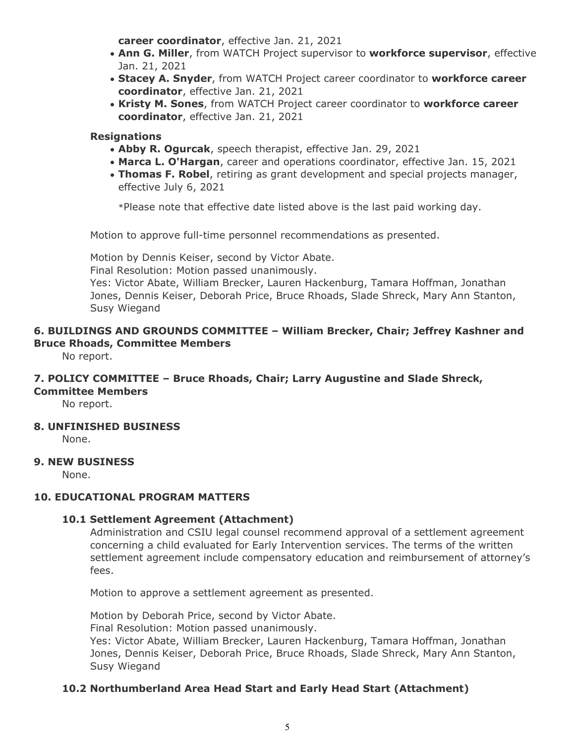**career coordinator**, effective Jan. 21, 2021

- **Ann G. Miller**, from WATCH Project supervisor to **workforce supervisor**, effective Jan. 21, 2021
- **Stacey A. Snyder**, from WATCH Project career coordinator to **workforce career coordinator**, effective Jan. 21, 2021
- **Kristy M. Sones**, from WATCH Project career coordinator to **workforce career coordinator**, effective Jan. 21, 2021

## **Resignations**

- **Abby R. Ogurcak**, speech therapist, effective Jan. 29, 2021
- **Marca L. O'Hargan**, career and operations coordinator, effective Jan. 15, 2021
- **Thomas F. Robel**, retiring as grant development and special projects manager, effective July 6, 2021

\*Please note that effective date listed above is the last paid working day.

Motion to approve full-time personnel recommendations as presented.

Motion by Dennis Keiser, second by Victor Abate.

Final Resolution: Motion passed unanimously.

Yes: Victor Abate, William Brecker, Lauren Hackenburg, Tamara Hoffman, Jonathan Jones, Dennis Keiser, Deborah Price, Bruce Rhoads, Slade Shreck, Mary Ann Stanton, Susy Wiegand

# **6. BUILDINGS AND GROUNDS COMMITTEE – William Brecker, Chair; Jeffrey Kashner and Bruce Rhoads, Committee Members**

No report.

#### **7. POLICY COMMITTEE – Bruce Rhoads, Chair; Larry Augustine and Slade Shreck, Committee Members**

No report.

## **8. UNFINISHED BUSINESS**

None.

## **9. NEW BUSINESS**

None.

## **10. EDUCATIONAL PROGRAM MATTERS**

## **10.1 Settlement Agreement (Attachment)**

Administration and CSIU legal counsel recommend approval of a settlement agreement concerning a child evaluated for Early Intervention services. The terms of the written settlement agreement include compensatory education and reimbursement of attorney's fees.

Motion to approve a settlement agreement as presented.

Motion by Deborah Price, second by Victor Abate. Final Resolution: Motion passed unanimously. Yes: Victor Abate, William Brecker, Lauren Hackenburg, Tamara Hoffman, Jonathan Jones, Dennis Keiser, Deborah Price, Bruce Rhoads, Slade Shreck, Mary Ann Stanton, Susy Wiegand

## **10.2 Northumberland Area Head Start and Early Head Start (Attachment)**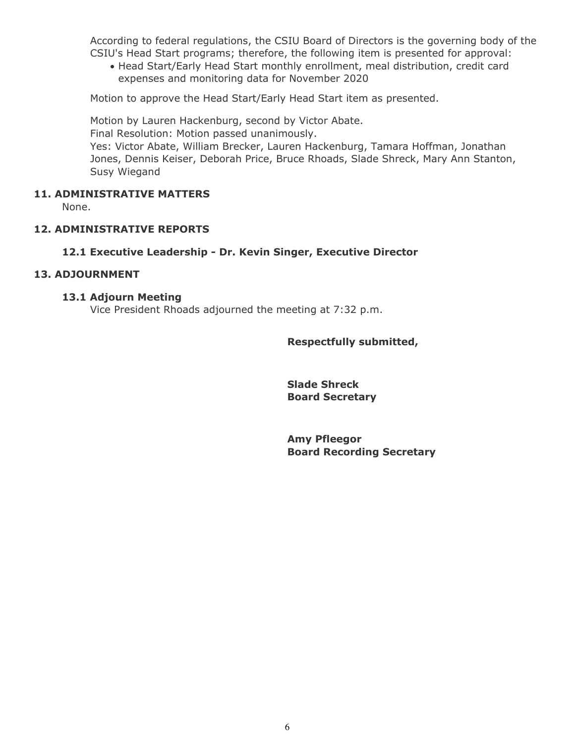According to federal regulations, the CSIU Board of Directors is the governing body of the CSIU's Head Start programs; therefore, the following item is presented for approval:

Head Start/Early Head Start monthly enrollment, meal distribution, credit card expenses and monitoring data for November 2020

Motion to approve the Head Start/Early Head Start item as presented.

Motion by Lauren Hackenburg, second by Victor Abate. Final Resolution: Motion passed unanimously. Yes: Victor Abate, William Brecker, Lauren Hackenburg, Tamara Hoffman, Jonathan Jones, Dennis Keiser, Deborah Price, Bruce Rhoads, Slade Shreck, Mary Ann Stanton, Susy Wiegand

## **11. ADMINISTRATIVE MATTERS**

None.

## **12. ADMINISTRATIVE REPORTS**

#### **12.1 Executive Leadership - Dr. Kevin Singer, Executive Director**

#### **13. ADJOURNMENT**

#### **13.1 Adjourn Meeting**

Vice President Rhoads adjourned the meeting at 7:32 p.m.

#### **Respectfully submitted,**

**Slade Shreck Board Secretary**

**Amy Pfleegor Board Recording Secretary**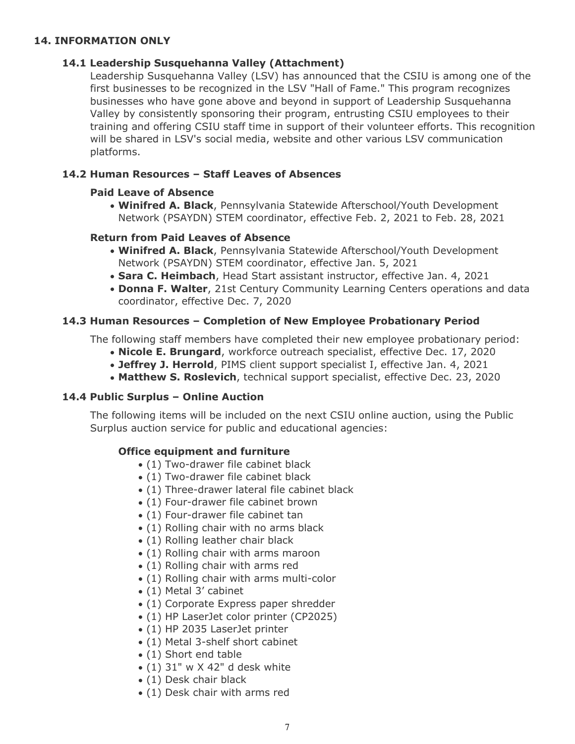## **14. INFORMATION ONLY**

## **14.1 Leadership Susquehanna Valley (Attachment)**

Leadership Susquehanna Valley (LSV) has announced that the CSIU is among one of the first businesses to be recognized in the LSV "Hall of Fame." This program recognizes businesses who have gone above and beyond in support of Leadership Susquehanna Valley by consistently sponsoring their program, entrusting CSIU employees to their training and offering CSIU staff time in support of their volunteer efforts. This recognition will be shared in LSV's social media, website and other various LSV communication platforms.

## **14.2 Human Resources – Staff Leaves of Absences**

## **Paid Leave of Absence**

**Winifred A. Black**, Pennsylvania Statewide Afterschool/Youth Development Network (PSAYDN) STEM coordinator, effective Feb. 2, 2021 to Feb. 28, 2021

## **Return from Paid Leaves of Absence**

- **Winifred A. Black**, Pennsylvania Statewide Afterschool/Youth Development Network (PSAYDN) STEM coordinator, effective Jan. 5, 2021
- **Sara C. Heimbach**, Head Start assistant instructor, effective Jan. 4, 2021
- **Donna F. Walter**, 21st Century Community Learning Centers operations and data coordinator, effective Dec. 7, 2020

## **14.3 Human Resources – Completion of New Employee Probationary Period**

The following staff members have completed their new employee probationary period:

- **Nicole E. Brungard**, workforce outreach specialist, effective Dec. 17, 2020
- **Jeffrey J. Herrold**, PIMS client support specialist I, effective Jan. 4, 2021
- **Matthew S. Roslevich**, technical support specialist, effective Dec. 23, 2020

## **14.4 Public Surplus – Online Auction**

The following items will be included on the next CSIU online auction, using the Public Surplus auction service for public and educational agencies:

# **Office equipment and furniture**

- (1) Two-drawer file cabinet black
- (1) Two-drawer file cabinet black
- (1) Three-drawer lateral file cabinet black
- (1) Four-drawer file cabinet brown
- (1) Four-drawer file cabinet tan
- (1) Rolling chair with no arms black
- (1) Rolling leather chair black
- (1) Rolling chair with arms maroon
- (1) Rolling chair with arms red
- (1) Rolling chair with arms multi-color
- (1) Metal 3' cabinet
- (1) Corporate Express paper shredder
- (1) HP LaserJet color printer (CP2025)
- (1) HP 2035 LaserJet printer
- (1) Metal 3-shelf short cabinet
- (1) Short end table
- $(1)$  31" w X 42" d desk white
- (1) Desk chair black
- (1) Desk chair with arms red